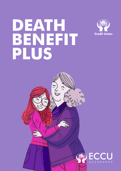# **DEATH BENEFIT PLUS**



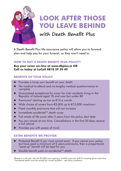

### **LOOK AFTER THOSE YOU LEAVE BEHIND**

### **with Death Benefit Plus**

A Death Benefit Plus life assurance policy will allow you to forward plan and help pay for your funeral, so they won't need to.

#### **HOW TO BUY A DEATH BENEFIT PLUS POLICY?**

**Buy your cover on-line at www.dbplus.ie OR Call us today at LoCall 0818 29 39 49**

#### **BENEFITS OF YOUR POLICY**

- ► Provides a lump sum benefit on your death
- ► No medical to attend and no lengthy medical questionnaires to complete
- ► Guaranteed acceptance for cover for Irish residents living in the Republic of Ireland aged 18 and over but under 80
- ► Premiums\* starting as low as €10 a month
- ► Wide choice of covers from €3,000 up to €15,000 maximum
- ► Fixed monthly premiums that will not increase
- ► Immediate accidental\*\* death cover
- ► Full whole of life cover after 2 years from the policy start date
- ► You can cancel at any time. Cancellations in the first 30 days receive a full refund.
- Provides you with peace of mind

#### **EXTRA BENEFITS WE PROVIDE**

- ► Protected Benefit if you must cancel early: If you cancel your policy but have paid a minimum of 5 years premiums, then a proportional "paid up" benefit will be kept for you.
- ► Double benefit paid on accidental\*\* death.

\*Based on a 46 year old with €3,000 cover paying a monthly premium of €10 including government levy. \*\*accidental death must be caused by a travel accident – see policy conditions.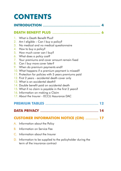## **CONTENTS**

#### **INTRODUCTION ........................................................................................... 4**

#### **DEATH BENEFIT PLUS ............................................................................ 6**

- 1. What is Death Benefit Plus?
- 2. Am I eligible Can I buy a policy?
- 3. No medical and no medical questionnaire
- 4. How to buy a policy?
- 5. How much cover can I buy?
- 6. What does a policy cost?
- 7. Your premiums and cover amount remain fixed
- 8. Can I buy more cover later?
- 9. When do premium payments end?
- 10. What happens if a premium payment is missed?
- 11. Protection for policies with 5 years premiums paid
- 12. First 2 years accidental death cover only
- 13. What is an accidental death?
- 14. Double benefit paid on accidental death
- 15. What if no claim is payable in the first 2 years?
- 16. Information on making a Claim
- 17. About the Insurer ECCU Assurance DAC

#### **PREMIUM TABLES .................................................................................... 12**

**DATA PRIVACY ............................................................................................ 14**

#### **CUSTOMER INFORMATION NOTICE (CIN) .................... 17**

- A. Information about the Policy
- B. Information on Service Fee
- C. Information about the Insurer
- D. Information to be supplied to the policyholder during the term of the insurance contract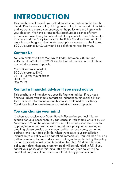### **INTRODUCTION**

This brochure will provide you with detailed information on the Death Benefit Plus insurance policy. Taking out a policy is an important decision and we want to ensure you understand the policy and are happy with your decision. We have arranged this brochure in a series of short sections to make it easy to understand. If any conflict arises between this brochure and the Policy Conditions, the Policy Conditions will apply. If there is something you don't understand please contact us, the Insurer, ECCU Assurance DAC. We would be delighted to hear from you.

#### **Contact Us**

You can contact us from Monday to Friday, between 9.00am and 4.45pm, at LoCall 0818 29 39 49. Further information is available on our website at www.dbplus.ie.

Our offices are located at: ECCU Assurance DAC 33 – 41 Lower Mount Street Dublin 2 D02 Y489

#### **Contact a financial advisor if you need advice**

This brochure will not give you specific financial advice. If you need financial advice you should contact an independent financial advisor. There is more information about this policy contained in our Policy Conditions booklet available on our website at www.dbplus.ie.

#### **You can change your mind**

If, when you receive your Death Benefit Plus policy, you feel it is not suitable for your needs then you can cancel it. You should write to ECCU Assurance DAC at the above address or alternatively send an email to dbplus@eccu.ie and instruct us to cancel your policy. When writing or emailing please provide us with your policy number, name, surname, address, and your date of birth. When we receive your cancellation instruction your policy will be cancelled immediately. You will then have no further premiums to pay and you will no longer be protected by the policy. If your cancellation instruction is received less than 30 days after your policy start date, then any premium paid will be refunded in full. If you cancel your policy after this initial 30-day period, your policy will be cancelled but you will not receive a refund of any premiums paid.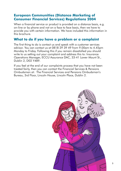#### **European Communities (Distance Marketing of Consumer Financial Services) Regulations 2004**

When a financial service or product is provided on a distance basis, e.a. on-line or by phone and not on a face to face basis, then we have to provide you with certain information. We have included this information in this brochure.

#### **What to do if you have a problem or a complaint**

The first thing to do is contact us and speak with a customer services advisor. You can contact us at 0818 29 39 49 from 9.00am to 4.45pm Monday to Friday. Following this if you remain dissatisfied you should write to us setting out your complaint and address this to: Insurance Operations Manager, ECCU Assurance DAC, 33-41 Lower Mount St., Dublin 2, D02 Y489.

If you feel at the end of our complaints process that you have not been treated fairly, then you can contact the Financial Services & Pensions Ombudsman at: The Financial Services and Pensions Ombudsman's Bureau, 3rd Floor, Lincoln House, Lincoln Place, Dublin 2.

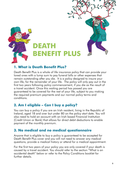

#### **1. What is Death Benefit Plus?**

Death Benefit Plus is a whole of life insurance policy that can provide your loved ones with a lump sum to pay funeral bills or other expenses that remain outstanding after you die. It is a policy designed to insure your own life, for the remainder of your life. The policy will only pay out in the first two years following policy commencement, if you die as the result of a travel accident. Once this waiting period has passed you are guaranteed to be covered for the rest of your life, subject to you making the required premium payments and our normal policy terms and conditions.

#### **2. Am I eligible – Can I buy a policy?**

You can buy a policy if you are an Irish resident, living in the Republic of Ireland, aged 18 and over but under 80 on the policy start date. You will also need to hold an account with an Irish based Financial Institution (Credit Union or Bank) that allows for direct debit deductions to enable payment of the monthly premium.

#### **3. No medical and no medical questionnaire**

Anyone that is eligible to buy a policy is guaranteed to be accepted for Death Benefit Plus cover and you will not need to answer any medical questions, provide a medical history or attend for a medical appointment.

For the first two years of your policy you are only covered if your death is caused by a travel accident. You should refer to the section "What is an accidental death" below or refer to the Policy Conditions booklet for further details.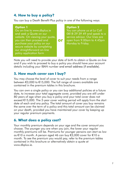#### **4. How to buy a policy?**

You can buy a Death Benefit Plus policy in one of the following ways:

#### **Option 1**

Go on-line to www.dbplus.ie and seek a Quote on our website. On viewing your quote, you can then proceed and purchase your policy on our secure website by completing our straightforward on-line policy application form

#### **Option 2**

You can phone us at Lo Call 0818 29 39 49 and speak to a service advisor. Our lines are open from 9.00am to 4.45pm Monday to Friday.

Note you will need to provide your date of birth to obtain a Quote on-line and if you wish to proceed to buy a policy you should have your account details including your IBAN number and email address (if available).

**or**

#### **5. How much cover can I buy?**

You may choose the level of cover to suit your needs from a range between €3,000 to €15,000. The full range of covers available are contained in the premium tables in this brochure.

You can own a single policy or you can buy additional policies at a future date, to increase your total aggregate cover, provided you are still under 80 years of age when you buy a policy and your total cover does not exceed €15,000. The 2-year cover waiting period will apply from the start date of each and any policy. The total amount of cover you buy remains the same over the term of a policy and this total amount can be claimed on your death, provided you have maintained your cover by keeping up your regular premium payments.

#### **6. What does a policy cost?**

Your monthly premium depends on your age and the cover amount you choose. The younger you are when you join, the lower your regular monthly premiums will be. Premiums for younger persons can start as low as €10 a month. A person aged 46 can buy €3,000 cover for €10 a month. To see the premium you would pay, refer to the premium tables contained in this brochure or alternatively obtain a quote at www.dbplus.ie.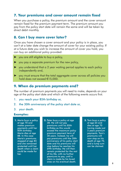#### **7. Your premiums and cover amount remain fixed**

When you purchase a policy, the premium amount and the cover amount remain fixed for the premium payment term. The premium amount you pay from the policy start date will remain the same and will be taken by direct debit monthly.

#### **8. Can I buy more cover later?**

Once you have chosen a cover amount and your policy is in place, you can't at a later date change the amount of cover for your existing policy. If at a future date you wish to increase the amount of cover you hold, you can buy an additional policy provided:

- ► you are still eligible to buy a policy,
- you pay a separate premium for the new policy.
- ► you understand that a 2 year waiting period applies to each policy independently and,
- ► you must ensure that the total aggregate cover across all policies you hold does not exceed €15,000.

#### **9. When do premium payments end?**

The number of premium payments you will need to make, depends on your age at the policy start date and which of the following events occurs first.

- 1. you reach your 85th birthday or,
- 2. the 30th anniversary of the policy start date or,
- 3. your death.

#### **Examples:**

- **1.** Maria buys a policy at age 70 and makes premium payments until her 85th birthday. Maria dies at age 88. In this case Maria's premiums stopped at age 85 and she remained protected until her death when a claim could be made for her.
- **2.** Peter buys a policy at age 38. He will not pay premiums until his 85th birthday as this would exceed the maximum policy premium payment term of 30 years. Instead, he will pay premiums until the 30th anniversary of his policy start date and his premiums will stop before he reaches his 69th birthday. He will then remain protected for the rest of his life, with no further premiums to pay, until a claim is made by his loved ones on his eventual death.
- **3.** Tom buys a policy at age 65 and dies at age 70 having made just 5 years premium payments. Tom's premiums will now stop on his death at age 70, and a lump sum can be claimed.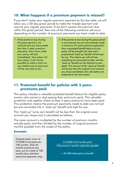#### **10. What happens if a premium payment is missed?**

If you don't make your regular premium payment by the due date, we will allow you a 30-day grace period to make the missed payment and resume your regular payments. If we don't receive the premium due within the grace period, then one of the following scenarios will occur depending on the number of premium payments you have made to date:

- 1. If the premium due during the grace period is not received and you have made less than 5 years premium payments, then cover under your policy will end immediately. Your policy will then cease, it will not be possible to make a claim on your death and no premiums will be returned to you.
- 2. If the premium due during the grace period is not received, but you have already made a minimum of 5 years premium payments, then a protected benefit feature of your policy will be brought into play and a proportional "paid up" benefit will be kept for you. This means you will not lose everything you have paid to date, and the "paid up" benefit can be claimed on your death. The amount of the "paid up" benefit will be less than the original cover amount you chose and details of its calculation are explained in the next section.

#### **11. Protected benefit for policies with 5 years premiums paid**

This policy includes a valuable protected benefit feature for eligible policy owners who cancel or stop paying their premiums early. This valuable protection only applies where at least 5 years premiums have been paid. This protection means the premium payments made to date are not lost but are converted into a "paid up" benefit and kept for you.

This "paid up" lump sum benefit will be less than the original cover amount you chose and is calculated as follows:

The cover amount is multiplied by the number of premium months actually paid, and then divided by the number of original premium months payable from the outset of the policy.

#### **Example:**

Original policy cover of €10,000 to be paid over 100 months. Only 65 months premiums are paid, out of a total of 100 months due, and then premiums payments stop.

€10,000 X 65 months paid 100 premium months originally payable

 $=$   $\epsilon$ 6,500 total paid up benefit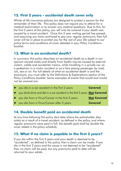#### **12. First 2 years - accidental death cover only**

Whole of life insurance policies are designed to protect a person for the remainder of their life. This policy does not require you to attend for a medical examination or to answer any medical questions. Due to this, for the first 2 years of this policy, you will only be covered if your death was caused by a travel accident. Once this 2 year waiting period has passed, and assuming you have continued to pay your regular premiums, then full cover will be in place to protect you for the rest of your life subject to our policy terms and conditions of cover detailed in your Policy Conditions booklet.

#### **13. What is an accidental death?**

In summary, this policy describes an accidental death as a death in our opinion caused solely and directly from bodily injuries caused by external violent, visible and accidental means, while travelling in a private car, as a pedestrian in a motor accident or as a fare paying passenger by road, rail, sea or air. For full details of what an accidental death is and the exclusions, you must refer to the Definitions & Explanations section of the Policy Conditions booklet. Some examples of events that would and would not be covered are:

| ▶ you die in a car accident in the first 2 years                                    | <b>Covered</b>     |
|-------------------------------------------------------------------------------------|--------------------|
| ▶ you drink-drive and die in a car accident in the first 2 years <b>Not Covered</b> |                    |
| ▶ you die from a Virus/Cancer in the first 2 years                                  | <b>Not Covered</b> |
| ▶ you die from a Virus/Cancer after 2 years                                         | <b>Covered</b>     |

#### **14. Double benefit paid on accidental death**

At any time following the policy start date where the policyholder dies solely as a result of a travel accident, as defined in the policy, and where regular premiums were paid in full, the benefit paid shall be double the cover stated in the policy schedule.

#### **15. What if no claim is payable in the first 2 years?**

If you die within the first 2 years and your death is deemed to be "accidental", as defined in the policy, then a claim can be made. If you die in the first 2 years and the cause is not deemed to be "accidental" then no claim will be paid, but any premiums paid to date will be returned to your estate.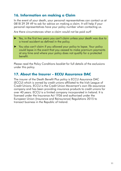#### **16. Information on making a Claim**

In the event of your death, your personal representatives can contact us at 0818 29 39 49 to ask for advice on making a claim. It will help if your personal representatives have your policy number when contacting us.

Are there circumstances when a claim would not be paid out?

- ► Yes, in the first two years you can't claim unless your death was due to a travel accident as defined in the policy.
- ► You also can't claim if you allowed your policy to lapse. Your policy could lapse in the event that you ceased to make premium payments at any time and where your policy does not qualify for a protected benefit.

Please read the Policy Conditions booklet for full details of the exclusions under this policy.

#### **17. About the Insurer - ECCU Assurance DAC**

The insurer of the Death Benefit Plus policy is ECCU Assurance DAC (ECCU) which is owned by credit unions affiliated to the Irish League of Credit Unions. ECCU is the Credit Union Movement's own life assurance company and has been providing insurance products to credit unions for over 40 years. ECCU is a limited company incorporated in Ireland. It is licensed under the Insurance Act 1936 and authorised under the European Union (Insurance and Reinsurance) Regulations 2015 to transact business in the Republic of Ireland.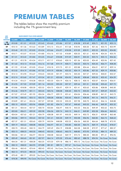### **PREMIUM TABLES**

The tables below show the monthly premium including the 1% government levy.

**AGE DEATH BENEFIT PLUS COVER AMOUNT**

|   | FAN |
|---|-----|
| 韋 |     |
|   |     |
|   |     |

| <b>NEXT</b><br><b>BIRTHDAY</b> | €3,000 | €3,500 | €4,000   | €4,500   | €5,000   | €5,500   | €6,000   | €6,500                                                                                | €7,000   | €7,500   | €8,000   | €8,500   |
|--------------------------------|--------|--------|----------|----------|----------|----------|----------|---------------------------------------------------------------------------------------|----------|----------|----------|----------|
| 19<br>to 46                    | €10.00 | €11.01 | €12.22   | €13.43   | €14.65   | €15.86   | €17.07   | €18.28                                                                                | €19.49   | €20.71   | €21.92   | €23.13   |
| 47                             | €10.10 | €11.36 | €12.63   | €13.89   | €15.15   | €16.41   | €17.68   | €18.94                                                                                | €20.20   | €21.46   | €22.73   | €23.99   |
| 48                             | €10.40 | €11.72 | €13.03   | €14.34   | €15.66   | €16.97   | €18.28   | €19.59                                                                                | €20.91   | €22.22   | €23.53   | €24.85   |
| 49                             | €10.71 | €12.07 | €13.43   | €14.80   | €16.16   | €17.52   | €18.89   | €20.25                                                                                | €21.61   | €22.98   | €24.34   | €25.70   |
| 50                             | €11.01 | €12.42 | €13.84   | €15.25   | €16.67   | €18.08   | €19.49   | €20.91                                                                                | €22.32   | €23.74   | €25.15   | €26.56   |
| 51                             | €11.31 | €12.78 | €14.24   | €15.71   | €17.17   | €18.63   | €20.10   | €21.56                                                                                | €23.03   | €24.49   | €25.96   | €27.42   |
| 52                             | €11.62 | €13.13 | €14.65   | €16.16   | €17.68   | €19.19   | €20.71   | €22.22                                                                                | €23.74   | €25.25   | €26.77   | €28.28   |
| 53                             | €11.92 | €13.48 | €15.05   | €16.61   | €18.18   | €19.75   | €21.31   | €22.88                                                                                | €24.44   | €26.01   | €27.57   | €29.14   |
| 54                             | €12.52 | €14.19 | €15.86   | €17.52   | €19.19   | €20.86   | €22.52   | €24.19                                                                                | €25.86   | €27.52   | €29.19   | €30.86   |
| 55                             | €13.13 | €14.90 | €16.67   | €18.43   | €20.20   | €21.97   | €23.74   | €25.50                                                                                | €27.27   | €29.04   | €30.81   | €32.57   |
| 56                             | €13.74 | €15.60 | €17.47   | €19.34   | €21.21   | €23.08   | €24.95   | €26.82                                                                                | €28.68   | €30.55   | €32.42   | €34.29   |
| 57                             | €14.34 | €16.31 | €18.28   | €20.25   | €22.22   | €24.19   | €26.16   | €28.13                                                                                | €30.10   | €32.07   | €34.04   | €36.01   |
| 58                             | €14.95 | €17.02 | €19.09   | €21.16   | €23.23   | €25.30   | €27.37   | €29.44                                                                                | €31.51   | €33.58   | €35.65   | €37.72   |
| 59                             | €15.86 | €18.08 | €20.30   | €22.52   | €24.75   | €26.97   | €29.19   | €31.41                                                                                | €33.63   | €35.86   | €38.08   | €40.30   |
| 60                             | €16.46 | €18.79 | €21.11   | €23.43   | €25.76   | €28.08   | €30.40   | €32.72                                                                                | €35.05   | €37.37   | €39.69   | €42.02   |
| 61                             | €17.07 | €19.49 | €21.92   | €24.34   | €26.77   | €29.19   | €31.61   | €34.04                                                                                | €36.46   | €38.89   | €41.31   | €43.73   |
| 62                             | €17.98 | €20.55 | €23.13   | €25.70   | €28.28   | €30.86   | €33.43   | €36.01                                                                                | €38.58   | €41.16   | €43.73   | €46.31   |
| 63                             | €18.89 | €21.61 | €24.34   | €27.07   | €29.80   | €32.52   | €35.25   | €37.98                                                                                | €40.70   | €43.43   | €46.16   | €48.88   |
| 64                             | €20.10 | €23.03 | €25.96   | €28.89   | €31.82   | €34.74   | €37.67   | €40.60                                                                                | €43.53   | €46.46   | €49.39   | €52.32   |
| 65                             | €21.31 | €24.44 | €27.57   | €30.70   | €33.84   | €36.97   | €40.10   | €43.23                                                                                | €46.36   | €49.49   | €52.62   | €55.75   |
| 66                             | €22.83 | €26.21 | €29.59   | €32.98   | €36.36   | €39.74   | €43.13   | €46.51                                                                                | €49.89   | €53.28   | €56.66   | €60.04   |
| 67                             | €24.04 | €27.62 | €31.21   | €34.79   | €38.38   | €41.97   | €45.55   | €49.14                                                                                | €52.72   | €56.31   | €59.89   | €63.48   |
| 68                             | €25.86 | €29.74 | €33.63   | €37.52   | €41.41   | €45.30   | €49.19   | €53.08                                                                                | €56.96   | €60.85   | €64.74   | €68.63   |
| 69                             | €27.37 | €31.51 | €35.65   | €39.79   | €43.94   | €48.08   | €52.22   | €56.36                                                                                | €60.50   | €64.64   | €68.78   | €72.92   |
| 70                             | €29.19 | €33.63 | €38.08   | €42.52   | €46.97   | €51.41   | €55.85   | €60.30                                                                                | €64.74   | €69.19   | €73.63   | €78.07   |
| 71                             | €30.70 | €35.40 | €40.10   | €44.79   | €49.49   | €54.19   | €58.88   | €63.58                                                                                | €68.28   | €72.97   | €77.67   | €82.37   |
| 72                             | €33.13 | €38.23 | €43.33   | €48.43   | €53.53   | €58.63   | €63.73   | €68.83                                                                                | €73.93   | €79.03   | €84.13   | €89.23   |
| 73                             | €35.86 | €41.41 | €46.97   | €52.52   | €58.08   | €63.63   | €69.19   | €74.74                                                                                | €80.30   | €85.85   | €91.41   | €96.96   |
| 74                             | €39.49 | €45.65 | €51.81   | €57.97   | €64.14   | €70.30   | €76.46   | €82.62                                                                                | €88.78   | €94.94   | No Cover | No Cover |
| 75                             | €44.34 | €51.31 | €58.28   | €65.25   | €72.22   | €79.18   | €86.15   | €93.12                                                                                | No Cover | No Cover | No Cover | No Cover |
| 76                             | €50.10 | €58.02 | €65.95   | €73.88   | €81.81   | €89.74   | €97.67   | No Cover                                                                              | No Cover | No Cover | No Cover | No Cover |
| 77                             | €56.46 | €65.45 | €74.44   | €83.43   | €92.42   | No Cover | No Cover | No Cover                                                                              | No Cover | No Cover | No Cover | No Cover |
| 78                             | €63.13 | €73.23 | €83.33   | €93.43   | No Cover | No Cover | No Cover | No Cover                                                                              | No Cover | No Cover | No Cover | No Cover |
| 79                             | €70.40 | €81.71 | €93.02   | No Cover | No Cover | No Cover | No Cover | No Cover                                                                              | No Cover | No Cover | No Cover | No Cover |
| 80                             | €78.28 | €90.90 | No Cover |          |          |          |          | No Cover   No Cover   No Cover   No Cover   No Cover   No Cover   No Cover   No Cover |          |          |          | No Cover |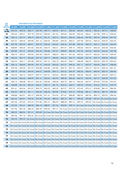| <b>BIRTHDAY</b><br>€9,000 | €9,500 |        | €10,500 | €11,000                                           | €11,500 | €12,000 | €12,500 | €13,000 |        | €14,000 | €14,500 | €15,000                                                                                                                                                                                                                                                                                                                                                                                                                                                                                                                                                                                                                                                                                                                                                                                                                                                                                                                                                                                                                                                                                                                                                                                                                                                                                                                                                                                                                                                                                                                                                       |
|---------------------------|--------|--------|---------|---------------------------------------------------|---------|---------|---------|---------|--------|---------|---------|---------------------------------------------------------------------------------------------------------------------------------------------------------------------------------------------------------------------------------------------------------------------------------------------------------------------------------------------------------------------------------------------------------------------------------------------------------------------------------------------------------------------------------------------------------------------------------------------------------------------------------------------------------------------------------------------------------------------------------------------------------------------------------------------------------------------------------------------------------------------------------------------------------------------------------------------------------------------------------------------------------------------------------------------------------------------------------------------------------------------------------------------------------------------------------------------------------------------------------------------------------------------------------------------------------------------------------------------------------------------------------------------------------------------------------------------------------------------------------------------------------------------------------------------------------------|
| €24.34                    | €25.55 | €26.77 | €27.98  | €29.19                                            | €30.40  | €31.61  | €32.83  | €34.04  | €35.25 | €36.46  | €37.67  | €38.89                                                                                                                                                                                                                                                                                                                                                                                                                                                                                                                                                                                                                                                                                                                                                                                                                                                                                                                                                                                                                                                                                                                                                                                                                                                                                                                                                                                                                                                                                                                                                        |
| €25.25                    | €26.51 | €27.78 | €29.04  | €30.30                                            | €31.56  | €32.83  | €34.09  | €35.35  | €36.61 | €37.88  | €39.14  | €40.40                                                                                                                                                                                                                                                                                                                                                                                                                                                                                                                                                                                                                                                                                                                                                                                                                                                                                                                                                                                                                                                                                                                                                                                                                                                                                                                                                                                                                                                                                                                                                        |
| €26.16                    | €27.47 | €28.79 | €30.10  | €31.41                                            | €32.72  | €34.04  | €35.35  | €36.66  | €37.98 | €39.29  | €40.60  | €41.92                                                                                                                                                                                                                                                                                                                                                                                                                                                                                                                                                                                                                                                                                                                                                                                                                                                                                                                                                                                                                                                                                                                                                                                                                                                                                                                                                                                                                                                                                                                                                        |
| €27.07                    | €28.43 | €29.80 | €31.16  | €32.52                                            | €33.89  | €35.25  | €36.61  | €37.98  | €39.34 | €40.70  | €42.07  | €43.43                                                                                                                                                                                                                                                                                                                                                                                                                                                                                                                                                                                                                                                                                                                                                                                                                                                                                                                                                                                                                                                                                                                                                                                                                                                                                                                                                                                                                                                                                                                                                        |
| €27.98                    | €29.39 | €30.81 | €32.22  | €33.63                                            | €35.05  | €36.46  | €37.88  | €39.29  | €40.70 | €42.12  | €43.53  | €44.95                                                                                                                                                                                                                                                                                                                                                                                                                                                                                                                                                                                                                                                                                                                                                                                                                                                                                                                                                                                                                                                                                                                                                                                                                                                                                                                                                                                                                                                                                                                                                        |
| €28.89                    | €30.35 | €31.82 | €33.28  | €34.74                                            | €36.21  | €37.67  | €39.14  | €40.60  | €42.07 | €43.53  | €45.00  | €46.46                                                                                                                                                                                                                                                                                                                                                                                                                                                                                                                                                                                                                                                                                                                                                                                                                                                                                                                                                                                                                                                                                                                                                                                                                                                                                                                                                                                                                                                                                                                                                        |
| €29.80                    | €31.31 | €32.83 | €34.34  | €35.86                                            | €37.37  | €38.89  | €40.40  | €41.92  | €43.43 | €44.95  | €46.46  | €47.98                                                                                                                                                                                                                                                                                                                                                                                                                                                                                                                                                                                                                                                                                                                                                                                                                                                                                                                                                                                                                                                                                                                                                                                                                                                                                                                                                                                                                                                                                                                                                        |
| €30.70                    | €32.27 | €33.84 | €35.40  | €36.97                                            | €38.53  | €40.10  | €41.66  | €43.23  | €44.79 | €46.36  | €47.92  | €49.49                                                                                                                                                                                                                                                                                                                                                                                                                                                                                                                                                                                                                                                                                                                                                                                                                                                                                                                                                                                                                                                                                                                                                                                                                                                                                                                                                                                                                                                                                                                                                        |
| €32.52                    | €34.19 | €35.86 | €37.52  | €39.19                                            | €40.85  | €42.52  | €44.19  | €45.85  | €47.52 | €49.19  | €50.85  | €52.52                                                                                                                                                                                                                                                                                                                                                                                                                                                                                                                                                                                                                                                                                                                                                                                                                                                                                                                                                                                                                                                                                                                                                                                                                                                                                                                                                                                                                                                                                                                                                        |
| €34.34                    | €36.11 | €37.88 | €39.64  | €41.41                                            | €43.18  | €44.95  | €46.71  | €48.48  | €50.25 | €52.02  | €53.78  | €55.55                                                                                                                                                                                                                                                                                                                                                                                                                                                                                                                                                                                                                                                                                                                                                                                                                                                                                                                                                                                                                                                                                                                                                                                                                                                                                                                                                                                                                                                                                                                                                        |
| €36.16                    | €38.03 | €39.90 | €41.76  | €43.63                                            | €45.50  | €47.37  | €49.24  | €51.11  | €52.97 | €54.84  | €56.71  | €58.58                                                                                                                                                                                                                                                                                                                                                                                                                                                                                                                                                                                                                                                                                                                                                                                                                                                                                                                                                                                                                                                                                                                                                                                                                                                                                                                                                                                                                                                                                                                                                        |
| €37.98                    | €39.95 | €41.92 | €43.88  | €45.85                                            | €47.82  | €49.79  | €51.76  | €53.73  | €55.70 | €57.67  | €59.64  | €61.61                                                                                                                                                                                                                                                                                                                                                                                                                                                                                                                                                                                                                                                                                                                                                                                                                                                                                                                                                                                                                                                                                                                                                                                                                                                                                                                                                                                                                                                                                                                                                        |
| €39.79                    | €41.86 | €43.94 | €46.01  | €48.08                                            | €50.15  | €52.22  | €54.29  | €56.36  | €58.43 | €60.50  | €62.57  | €64.64                                                                                                                                                                                                                                                                                                                                                                                                                                                                                                                                                                                                                                                                                                                                                                                                                                                                                                                                                                                                                                                                                                                                                                                                                                                                                                                                                                                                                                                                                                                                                        |
| €42.52                    | €44.74 | €46.97 | €49.19  | €51.41                                            | €53.63  | €55.85  | €58.08  | €60.30  | €62.52 | €64.74  | €66.96  | €69.19                                                                                                                                                                                                                                                                                                                                                                                                                                                                                                                                                                                                                                                                                                                                                                                                                                                                                                                                                                                                                                                                                                                                                                                                                                                                                                                                                                                                                                                                                                                                                        |
| €44.34                    | €46.66 | €48.99 | €51.31  | €53.63                                            | €55.95  | €58.28  | €60.60  | €62.92  | €65.25 | €67.57  | €69.89  | €72.22                                                                                                                                                                                                                                                                                                                                                                                                                                                                                                                                                                                                                                                                                                                                                                                                                                                                                                                                                                                                                                                                                                                                                                                                                                                                                                                                                                                                                                                                                                                                                        |
| €46.16                    | €48.58 | €51.01 | €53.43  | €55.85                                            | €58.28  | €60.70  | €63.13  | €65.55  | €67.97 | €70.40  | €72.82  | €75.25                                                                                                                                                                                                                                                                                                                                                                                                                                                                                                                                                                                                                                                                                                                                                                                                                                                                                                                                                                                                                                                                                                                                                                                                                                                                                                                                                                                                                                                                                                                                                        |
| €48.88                    | €51.46 | €54.04 | €56.61  | €59.19                                            | €61.76  | €64.34  | €66.91  | €69.49  | €72.06 | €74.64  | €77.21  | €79.79                                                                                                                                                                                                                                                                                                                                                                                                                                                                                                                                                                                                                                                                                                                                                                                                                                                                                                                                                                                                                                                                                                                                                                                                                                                                                                                                                                                                                                                                                                                                                        |
| €51.61                    | €54.34 | €57.07 | €59.79  | €62.52                                            | €65.25  | €67.97  | €70.70  | €73.43  | €76.15 | €78.88  | €81.61  | €84.34                                                                                                                                                                                                                                                                                                                                                                                                                                                                                                                                                                                                                                                                                                                                                                                                                                                                                                                                                                                                                                                                                                                                                                                                                                                                                                                                                                                                                                                                                                                                                        |
| €55.25                    | €58.18 | €61.11 | €64.03  | €66.96                                            | €69.89  | €72.82  | €75.75  | €78.68  | €81.61 | €84.54  | €87.47  | €90.40                                                                                                                                                                                                                                                                                                                                                                                                                                                                                                                                                                                                                                                                                                                                                                                                                                                                                                                                                                                                                                                                                                                                                                                                                                                                                                                                                                                                                                                                                                                                                        |
| €58.88                    | €62.01 | €65.15 | €68.28  | €71.41                                            | €74.54  | €77.67  | €80.80  | €83.93  | €87.06 | €90.19  | €93.32  | €96.46                                                                                                                                                                                                                                                                                                                                                                                                                                                                                                                                                                                                                                                                                                                                                                                                                                                                                                                                                                                                                                                                                                                                                                                                                                                                                                                                                                                                                                                                                                                                                        |
| €63.43                    | €66.81 | €70.20 | €73.58  | €76.96                                            | €80.35  | €83.73  | €87.11  | €90.50  | €93.88 | €97.26  |         |                                                                                                                                                                                                                                                                                                                                                                                                                                                                                                                                                                                                                                                                                                                                                                                                                                                                                                                                                                                                                                                                                                                                                                                                                                                                                                                                                                                                                                                                                                                                                               |
| €67.06                    | €70.65 | €74.24 | €77.82  | €81.41                                            | €84.99  | €88.58  | €92.16  | €95.75  | €99.33 |         |         |                                                                                                                                                                                                                                                                                                                                                                                                                                                                                                                                                                                                                                                                                                                                                                                                                                                                                                                                                                                                                                                                                                                                                                                                                                                                                                                                                                                                                                                                                                                                                               |
| €72.52                    | €76.41 | €80.30 | €84.18  | €88.07                                            | €91.96  | €95.85  | €99.74  |         |        |         |         |                                                                                                                                                                                                                                                                                                                                                                                                                                                                                                                                                                                                                                                                                                                                                                                                                                                                                                                                                                                                                                                                                                                                                                                                                                                                                                                                                                                                                                                                                                                                                               |
| €77.06                    | €81.20 | €85.35 | €89.49  | €93.63                                            | €97.77  |         |         |         |        |         |         |                                                                                                                                                                                                                                                                                                                                                                                                                                                                                                                                                                                                                                                                                                                                                                                                                                                                                                                                                                                                                                                                                                                                                                                                                                                                                                                                                                                                                                                                                                                                                               |
| €82.52                    | €86.96 | €91.41 | €95.85  |                                                   |         |         |         |         |        |         |         |                                                                                                                                                                                                                                                                                                                                                                                                                                                                                                                                                                                                                                                                                                                                                                                                                                                                                                                                                                                                                                                                                                                                                                                                                                                                                                                                                                                                                                                                                                                                                               |
| €87.06                    | €91.76 | €96.46 |         |                                                   |         |         |         |         |        |         |         |                                                                                                                                                                                                                                                                                                                                                                                                                                                                                                                                                                                                                                                                                                                                                                                                                                                                                                                                                                                                                                                                                                                                                                                                                                                                                                                                                                                                                                                                                                                                                               |
| €94.33                    | €99.43 |        |         |                                                   |         |         |         |         |        |         |         |                                                                                                                                                                                                                                                                                                                                                                                                                                                                                                                                                                                                                                                                                                                                                                                                                                                                                                                                                                                                                                                                                                                                                                                                                                                                                                                                                                                                                                                                                                                                                               |
|                           |        |        |         |                                                   |         |         |         |         |        |         |         |                                                                                                                                                                                                                                                                                                                                                                                                                                                                                                                                                                                                                                                                                                                                                                                                                                                                                                                                                                                                                                                                                                                                                                                                                                                                                                                                                                                                                                                                                                                                                               |
|                           |        |        |         |                                                   |         |         |         |         |        |         |         |                                                                                                                                                                                                                                                                                                                                                                                                                                                                                                                                                                                                                                                                                                                                                                                                                                                                                                                                                                                                                                                                                                                                                                                                                                                                                                                                                                                                                                                                                                                                                               |
|                           |        |        |         |                                                   |         |         |         |         |        |         |         |                                                                                                                                                                                                                                                                                                                                                                                                                                                                                                                                                                                                                                                                                                                                                                                                                                                                                                                                                                                                                                                                                                                                                                                                                                                                                                                                                                                                                                                                                                                                                               |
|                           |        |        |         |                                                   |         |         |         |         |        |         |         |                                                                                                                                                                                                                                                                                                                                                                                                                                                                                                                                                                                                                                                                                                                                                                                                                                                                                                                                                                                                                                                                                                                                                                                                                                                                                                                                                                                                                                                                                                                                                               |
|                           |        |        |         |                                                   |         |         |         |         |        |         |         |                                                                                                                                                                                                                                                                                                                                                                                                                                                                                                                                                                                                                                                                                                                                                                                                                                                                                                                                                                                                                                                                                                                                                                                                                                                                                                                                                                                                                                                                                                                                                               |
|                           |        |        |         |                                                   |         |         |         |         |        |         |         |                                                                                                                                                                                                                                                                                                                                                                                                                                                                                                                                                                                                                                                                                                                                                                                                                                                                                                                                                                                                                                                                                                                                                                                                                                                                                                                                                                                                                                                                                                                                                               |
|                           |        |        |         |                                                   |         |         |         |         |        |         |         |                                                                                                                                                                                                                                                                                                                                                                                                                                                                                                                                                                                                                                                                                                                                                                                                                                                                                                                                                                                                                                                                                                                                                                                                                                                                                                                                                                                                                                                                                                                                                               |
|                           |        |        |         |                                                   |         |         |         |         |        |         |         |                                                                                                                                                                                                                                                                                                                                                                                                                                                                                                                                                                                                                                                                                                                                                                                                                                                                                                                                                                                                                                                                                                                                                                                                                                                                                                                                                                                                                                                                                                                                                               |
|                           |        |        |         | <b>DEATH BENEFIT PLUS COVER AMOUNT</b><br>€10,000 |         |         |         |         |        |         | €13,500 | No Cover No Cover<br>No Cover No Cover No Cover<br>No Cover No Cover No Cover No Cover No Cover<br>No Cover No Cover No Cover No Cover No Cover No Cover No Cover<br>No Cover No Cover No Cover No Cover No Cover No Cover No Cover No Cover No Cover<br>No Cover No Cover No Cover No Cover No Cover No Cover No Cover No Cover No Cover No Cover No Cover<br>No Cover No Cover No Cover No Cover No Cover No Cover No Cover No Cover No Cover No Cover No Cover No Cover<br>No Cover No Cover No Cover No Cover No Cover No Cover No Cover No Cover No Cover No Cover No Cover No Cover No Cover No Cover <br>No Cover No Cover No Cover No Cover No Cover No Cover No Cover No Cover No Cover No Cover No Cover No Cover No Cover No Cover<br>No Cover No Cover No Cover No Cover No Cover No Cover No Cover No Cover No Cover No Cover No Cover No Cover No Cover No Cover<br>No Cover No Cover No Cover No Cover No Cover No Cover No Cover No Cover No Cover No Cover No Cover No Cover No Cover No Cover<br>No Cover No Cover No Cover No Cover No Cover No Cover No Cover No Cover No Cover No Cover No Cover No Cover No Cover No Cover<br>No Cover No Cover No Cover No Cover No Cover No Cover No Cover No Cover No Cover No Cover No Cover No Cover No Cover No Cover<br>No Cover No Cover No Cover No Cover No Cover No Cover No Cover No Cover No Cover No Cover No Cover No Cover No Cover No Cover <br>No Cover No Cover No Cover No Cover No Cover No Cover No Cover No Cover No Cover No Cover No Cover No Cover No Cover No Cover No Cover |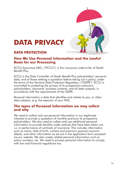### **DATA PRIVACY**

#### **DATA PROTECTION**

#### **How We Use Personal Information and the Lawful Basis for our Processing**

ECCU Assurance DAC, ("ECCU"), is the insurance underwriter of Death Benefit Plus.

ECCU is the Data Controller of Death Benefit Plus policyholders' personal data, and of those seeking a quotation before taking out a policy, under the terms of the General Data Protection Regulation, ("GDPR"). ECCU is committed to protecting the privacy of its prospective customers, policyholders, claimants, business contacts, and all data subjects, in accordance with the requirements of the GDPR.

Personal information is data that identifies and relates to you, or other data subjects, (e.g. the executor of your Will).

#### **The types of Personal Information we may collect and why**

We need to collect and use personal information in our legitimate interests to provide a quotation of monthly premium to prospective policyholders. We also need to collect and use additional personal information to provide benefits under policies that have been taken out, i.e. in performance of contracts of insurance. This includes information such as name, date of birth, contact and premium payment account details, and other information as set out in the application form accessed via our website. We also create related personal information such as policy numbers, etc. We need to process personal information to comply with law and financial regulations too.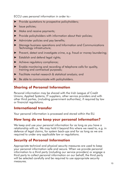ECCU uses personal information in order to:-

- ► Provide quotations to prospective policyholders;
- ► Issue policies;
- ► Make and receive payments;
- ► Provide policyholders with information about their policies;
- ► Administer policies and pay benefits;
- ► Manage business operations and Information and Communications Technology infrastructure;
- ► Prevent, detect and investigate crime, e.g. fraud or money laundering;
- ► Establish and defend legal rights;
- ► Achieve regulatory compliance;
- ► Enable monitoring and recording of telephone calls for quality, training and contractual purposes;
- ► Facilitate market research & statistical analysis; and
- Be able to communicate with policyholders.

#### **Sharing of Personal Information**

Personal information may be shared with the Irish League of Credit Unions, Applied Systems, IT suppliers, other service providers and with other third parties, (including government authorities), if required by law or financial regulations.

#### **International transfer**

Your personal information is processed and stored within the EU.

#### **How long do we keep your personal information?**

We keep and use your personal information for as long as you have a relationship with us. We may hold it beyond this where we need to, e.g. in defence of legal claims, for system back-ups and for as long as we are required to under any applicable law or regulations.

#### **Security of Personal Information**

Appropriate technical and physical security measures are used to keep your personal information safe and secure. When we provide personal information to a third party (including our service providers) or engage a third party to collect personal information on our behalf, the third party will be selected carefully and be required to use appropriate security measures.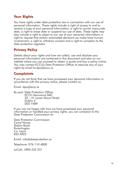#### **Your Rights**

You have rights under data protection law in connection with our use of personal information. These rights include a right of access to and to receive a copy of your personal Information, a right to correct inaccurate data, a right to erase data or suspend our use of data. These rights may also include a right to object to our use of your personal information, a right to request that certain automated decisions we make have human involvement, a right to withdraw consent and a right to complain to the data protection regulator.

#### **Privacy Policy**

Details about your rights and how we collect, use and disclose your personal information are contained in this document and also on our website where you can proceed to obtain a quote and buy a policy online. You may contact ECCU's Data Protection Officer to exercise any of your rights by email to:dpo@eccu.ie.

#### **Complaints**

If you do not think that we have processed your personal information in accordance with this privacy notice, please contact us:

Email: dpo@eccu.ie

By post: Data Protection Officer ECCU Assurance DAC 33 – 41 Lower Mount Street Dublin 2 D02 Y489

If you are not happy with how we have processed your personal information or handled your privacy rights, you can complain to the Data Protection Commission at:

Data Protection Commission Canal House Station Road Portarlington Co. Laois R32 AP23

Email: info@dataprotection.ie

Telephone: 076 110 4800

LoCall: 1890 252 231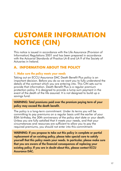### **CUSTOMER INFORMATION NOTICE (CIN)**

This notice is issued in accordance with the Life Assurance (Provision of Information) Regulations 2001 and has been prepared in accordance with the Actuarial Standards of Practice LA-8 and LA-9 of the Society of Actuaries in Ireland.

#### **A. INFORMATION ABOUT THE POLICY**

#### 1. Make sure the policy meets your needs

Taking out an ECCU Assurance DAC Death Benefit Plus policy is an important decision. Before you do so we want you to fully understand the details of the contract which you are entering into. This CIN sets out to provide that information. Death Benefit Plus is a regular premium protection policy. It is designed to provide a lump sum payment in the event of the death of the life assured. It is not designed to build up a savings fund.

#### WARNING: Total premiums paid over the premium paying term of your policy may exceed the death benefit.

The policy is a long-term commitment. Under its terms you will be committing to pay premiums on a regular basis until the earlier of your 85th birthday, the 30th anniversary of the policy start date or your death. Unless you are fully satisfied that it meets your needs, and that your circumstances and resources are sufficient to allow you to pay the required premiums, you should not enter into this commitment.

WARNING: If you propose to take out this policy in complete or partial replacement of an existing policy, please take special care to satisfy yourself that this policy meets your needs. In particular, please make sure that you are aware of the financial consequences of replacing your existing policy. If you are in doubt about this, please contact ECCU Assurance DAC.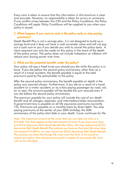Every care is taken to ensure that the information in this brochure is clear and accurate. However, no responsibility is taken for errors or omissions. If any conflict arises between this CIN and the Policy Conditions, the Policy Conditions will apply. Policy Conditions will be supplied to you when your policy is issued.

#### 2. What happens if you want to cash in the policy early or stop paying premiums?

Death Benefit Plus is not a savings plan, it is not designed to build up a savings fund and it does not have a cash surrender value and will not pay out a cash sum to you if you decide you wish to cancel the policy early. A claim payment can only be made on this policy in the event of the death of the policy owner. The policy does not include indexation so inflation will reduce your buying power over time.

#### 3. What are the projected benefits under the policy?

Your policy will pay a fixed lump sum should you die while the policy is in force. If you die before the second policy anniversary, other than as a result of a travel accident, the benefit payable is equal to the total premiums paid by the policyholder to the policy.

After the second policy anniversary, the benefit payable on death is the policy sum assured chosen. Furthermore, if you die as a result of a travel accident (in a motor accident, or as a fare paying passenger by road, rail, air or sea), the amount payable will be double the sum assured even if you die before the second policy anniversary.

The premium payable for your policy will include the cost of our death benefit and all charges, expenses, and intermediary/sales remuneration. A government levy is payable on all life assurance premiums (currently 1%). Premiums are payable on a monthly basis by direct debit. You stop paying premiums at the earlier of your 85th birthday, the 30th anniversary of the policy start date or your death. Cover continues for life.

*Note: The maximum amount of life cover that you can take out with us is €15,000. This limit applies to the total amount of cover if you have more than one ECCU Assurance DAC Death Benefit Plus Policy. We may reduce any ECCU Assurance DAC Death Benefit Plus policies you have so that total life cover does not exceed €15,000 or we may cancel any ECCU Assurance DAC Death Benefit Plus policies you have that brings life cover over this limit. If we cancel or reduce any policy, then any premiums paid in respect of any excess life cover will not be refunded.*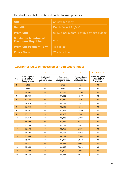The illustration below is based on the following details:

| Age:                                                 | 66 next birthday                          |
|------------------------------------------------------|-------------------------------------------|
| <b>Benefit:</b>                                      | Death Benefit €5,000                      |
| <b>Premium:</b>                                      | €36.36 per month, payable by direct debit |
| <b>Maximum Number of</b><br><b>Premiums Payable:</b> | 240                                       |
| <b>Premium Payment Term:</b>                         | To age 85                                 |
| <b>Policy Term:</b>                                  | Whole of Life                             |

#### **ILLUSTRATIVE TABLE OF PROJECTED BENEFITS AND CHARGES**

|                 | A                                                                     | B                                         | c                                            | D                                                          | $E = A + B - C + D$                                               |
|-----------------|-----------------------------------------------------------------------|-------------------------------------------|----------------------------------------------|------------------------------------------------------------|-------------------------------------------------------------------|
| Year            | <b>Total amount</b><br>of premiums<br>paid into the<br>policy to date | Projected<br>investment<br>growth to date | Projected<br>expenses and<br>charges to date | <b>Projected cost</b><br>of protection<br>benefits to date | <b>Projected policy</b><br>value before<br>payment of<br>taxation |
| $\mathbf{1}$    | €436                                                                  | €0                                        | €430                                         | €6                                                         | €0                                                                |
| $\mathbf{2}$    | €873                                                                  | €0                                        | €853                                         | €19                                                        | €0                                                                |
| 3               | €1,309                                                                | €0                                        | €1,205                                       | €104                                                       | €0                                                                |
| 4               | €1,745                                                                | €0                                        | €1,548                                       | €197                                                       | €0                                                                |
| $5\phantom{.0}$ | €2,182                                                                | €0                                        | €1,880                                       | €301                                                       | €0                                                                |
| 6               | €2,618                                                                | €0                                        | €2,201                                       | €417                                                       | €0                                                                |
| $\overline{7}$  | €3,054                                                                | €0                                        | €2,508                                       | €546                                                       | €0                                                                |
| 8               | €3,491                                                                | €0                                        | €2,801                                       | €690                                                       | €0                                                                |
| 9               | €3,927                                                                | €0                                        | €3,076                                       | €851                                                       | €0                                                                |
| 10              | €4,363                                                                | €0                                        | €3,333                                       | €1,030                                                     | €0                                                                |
| 11              | €4,800                                                                | €0                                        | €3,569                                       | €1,231                                                     | €0                                                                |
| 12              | €5,236                                                                | €0                                        | €3,781                                       | €1,455                                                     | €0                                                                |
| 13              | €5,672                                                                | €0                                        | €3,965                                       | €1,707                                                     | €0                                                                |
| 14              | €6,108                                                                | €0                                        | €4,119                                       | €1,989                                                     | €0                                                                |
| 15              | €6,545                                                                | €0                                        | €4,239                                       | €2,306                                                     | €0                                                                |
| 16              | €6,981                                                                | €0                                        | €4,319                                       | €2,662                                                     | €0                                                                |
| 17              | €7,417                                                                | €0                                        | €4,356                                       | €3,062                                                     | €0                                                                |
| 18              | €7,854                                                                | €0                                        | €4,356                                       | €3,498                                                     | €0                                                                |
| 19              | €8,290                                                                | €0                                        | €4,356                                       | €3,934                                                     | €0                                                                |
| 20              | €8,726                                                                | €0                                        | €4,356                                       | €4,371                                                     | €0                                                                |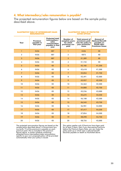#### 4. What intermediary/sales remuneration is payable?

The projected remuneration figures below are based on the sample policy described above.

|                | <b>ILLUSTRATIVE TABLE OF INTERMEDIARY/SALES</b><br><b>REMUNERATION</b> |                                                                                             | <b>ILLUSTRATIVE TABLE OF PROTECTED</b><br><b>COVER OPTION</b>    |                                                                                  |                                                                                           |  |
|----------------|------------------------------------------------------------------------|---------------------------------------------------------------------------------------------|------------------------------------------------------------------|----------------------------------------------------------------------------------|-------------------------------------------------------------------------------------------|--|
| Year           | Premium<br>payable in<br>that year                                     | <b>Projected total</b><br>intermediary/<br>sales<br>remuneration<br>payable in that<br>year | Number of<br>complete years<br>for which<br>premiums are<br>paid | Total amount of<br>premiums paid<br>into the policy to<br>year premiums<br>cease | Amount of<br><b>Reduced Benefit</b><br>payable on<br>Death after<br><b>Premiums Cease</b> |  |
| $\mathbf{1}$   | €436                                                                   | €87                                                                                         | $\mathbf{1}$                                                     | €436                                                                             | €0                                                                                        |  |
| $\overline{2}$ | €436                                                                   | €87                                                                                         | $\overline{\mathbf{2}}$                                          | €873                                                                             | €0                                                                                        |  |
| 3              | €436                                                                   | €87                                                                                         | 3                                                                | €1,309                                                                           | €0                                                                                        |  |
| $\overline{4}$ | €436                                                                   | €0                                                                                          | $\overline{4}$                                                   | €1,745                                                                           | €0                                                                                        |  |
| $\overline{5}$ | €436                                                                   | €0                                                                                          | $\overline{5}$                                                   | €2,182                                                                           | €1,250                                                                                    |  |
| 6              | €436                                                                   | €0                                                                                          | 6                                                                | €2,618                                                                           | €1,500                                                                                    |  |
| $\overline{7}$ | €436                                                                   | €0                                                                                          | $\overline{7}$                                                   | €3,054                                                                           | €1,750                                                                                    |  |
| 8              | €436                                                                   | €0                                                                                          | 8                                                                | €3,491                                                                           | €2,000                                                                                    |  |
| 9              | €436                                                                   | €0                                                                                          | 9                                                                | €3,927                                                                           | €2,250                                                                                    |  |
| 10             | €436                                                                   | €0                                                                                          | 10                                                               | €4,363                                                                           | €2,500                                                                                    |  |
| 11             | €436                                                                   | €0                                                                                          | 11                                                               | €4,800                                                                           | €2,750                                                                                    |  |
| 12             | €436                                                                   | €0                                                                                          | 12                                                               | €5,236                                                                           | €3,000                                                                                    |  |
| 13             | €436                                                                   | €0                                                                                          | 13                                                               | €5,672                                                                           | €3,250                                                                                    |  |
| 14             | €436                                                                   | €0                                                                                          | 14                                                               | €6,108                                                                           | €3,500                                                                                    |  |
| 15             | €436                                                                   | €0                                                                                          | 15                                                               | €6,545                                                                           | €3,750                                                                                    |  |
| 16             | €436                                                                   | €0                                                                                          | 16                                                               | €6,981                                                                           | €4,000                                                                                    |  |
| 17             | €436                                                                   | €0                                                                                          | 17                                                               | €7,417                                                                           | €4,250                                                                                    |  |
| 18             | €436                                                                   | €0                                                                                          | 18                                                               | €7,854                                                                           | €4,500                                                                                    |  |
| 19             | €436                                                                   | €0                                                                                          | 19                                                               | €8,290                                                                           | €4,750                                                                                    |  |
| 20             | €436                                                                   | €0                                                                                          | 20                                                               | €8,726                                                                           | €5,000                                                                                    |  |

The projected remuneration figures are based on the<br>sample policy described above. A Government levy<br>(currently 1% of the premium) is payable on each<br>premium paid. This is included in the premium<br>figures above. A similar s

This option applies only if Premiums have been paid<br>for at least 5 years, then if you stop paying Premiums<br>before the Premium Expiry Date, you can make the<br>policy paid-up in which case a reduced benefit<br>becomes payable on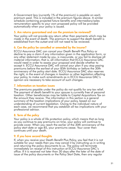A Government levy (currently 1% of the premium) is payable on each premium paid. This is included in the premium figures above. A similar schedule containing projected future benefits and intermediary/sales remuneration specific to your own proposed policy will be provided automatically when your policy is issued.

#### 5. Are returns guaranteed and can the premium be reviewed?

Your policy will not provide any return other than payments which may be made in the event of death. The premium to support the death benefit is established from the outset and will not need to be reviewed.

#### 6. Can the policy be cancelled or amended by the insurer?

ECCU Assurance DAC can cancel your Death Benefit Plus Policy or decline to pay a claim if any information given in the application form, or any other statement made by you, is inaccurate, or you fail to disclose all material information, that is, all information that ECCU Assurance DAC would need in order to assess your proposal and decide whether to accept it. ECCU Assurance DAC will cancel your plan if you stop paying premiums before the earliest of your 85th birthday or before the 30th anniversary of the policy start date. ECCU Assurance DAC also reserves the right, in the event of changes in taxation or other legislation affecting your policy, to make such amendments as in ECCU Assurance DAC's opinion are necessary to take account of such changes.

#### 7. Information on taxation issues

The premiums payable under the policy do not qualify for any tax relief. The payment of death benefit to your spouse is currently free of personal taxation. Other beneficiaries may be liable to Capital Acquisitions Tax on the amount they receive. The information in this section is a general summary of the taxation implications of your policy, based on our understanding of current legislation. Owing to the individual nature of each case, we recommend that you establish all tax implications with your professional advisor.

#### 8. Term of the policy

Your policy is a whole of life protection policy, which means that as long as you continue to pay premiums on time, your policy will continue to provide cover. When you reach the earlier of the 30th anniversary of the policy start date or age 85, your premiums cease. Your cover then continues until your death.

#### 9. If you have second thoughts

If, when you receive your Death Benefit Plus Policy, you feel that it is not suitable for your needs then you may cancel it by instructing us in writing and returning the policy documents to us. The policy will terminate immediately on receipt of this instruction at ECCU Assurance DAC's office. If it is received not later than 30 days after the later of the date of issue of the policy documents or the Policy Start Date, then any regular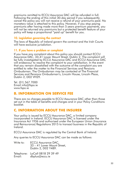premiums remitted to ECCU Assurance DAC will be refunded in full. Following the ending of this initial 30-day period if you subsequently cancel the policy you will not receive a refund of your premiums paid. No monetary value is attached to this policy. However, if you stop paying premiums after having made more than 5 years premium payments, you will not be returned any premiums but a protected benefit feature of your policy will keep a proportional "paid up" benefit for you.

#### 10. Legislation governing the contract

The laws of Republic of Ireland govern the contract and the Irish Courts will have exclusive jurisdiction.

#### 11. If you have a problem or complaint

If you have any complaint about this policy you should contact ECCU Assurance DAC, 33-41 Lower Mount Street, Dublin 2. The complaint will be fully investigated by ECCU Assurance DAC and ECCU Assurance DAC will endeavour to resolve the complaint to your satisfaction. In the event that you remain dissatisfied with the outcome of the complaint you are entitled to refer the matter to the Financial Services and Pensions Ombudsman. The Ombudsman may be contacted at The Financial Services and Pensions Ombudsman's, Lincoln House, Lincoln Place, Dublin 2, D02 VH29.

Tel. (01) 567 7000 Email info@fspo.ie www.fspo.ie

#### **B. INFORMATION ON SERVICE FEE**

There are no charges payable to ECCU Assurance DAC other than those set out in the table of benefits and charges and in your Policy Conditions booklet.

#### **C. INFORMATION ABOUT THE INSURER**

Your policy is issued by ECCU Assurance DAC, a limited company incorporated in Ireland. ECCU Assurance DAC is licensed under the Insurance Act 1936 and authorised under the European Union (Insurance and Reinsurance) Regulations 2015 to transact business in the Republic of Ireland.

ECCU Assurance DAC is regulated by the Central Bank of Ireland.

Any queries to ECCU Assurance DAC can be made as follows:

| Write to: | ECCU Assurance DAC,         |
|-----------|-----------------------------|
|           | 33 – 41 Lower Mount Street, |
|           | Dublin 2, D02 Y489.         |

Telephone: LoCall 0818 29 39 49<br>Email: dbplus@eccu.ie dbplus@eccu.ie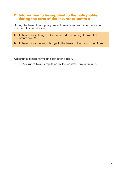#### **D. Information to be supplied to the policyholder during the term of the insurance contract**

During the term of your policy we will provide you with information in a number of circumstances:

- ► If there is any change in the name, address or legal form of ECCU Assurance DAC.
- ► If there is any material change to the terms of the Policy Conditions.

Acceptance criteria terms and conditions apply.

ECCU Assurance DAC is regulated by the Central Bank of Ireland.